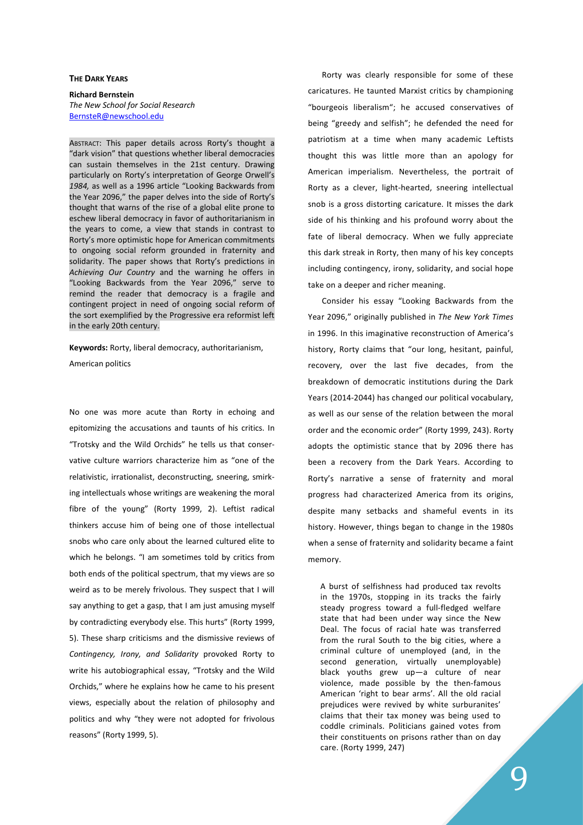## THE DARK YEARS

Richard Bernstein The New School for Social Research BernsteR@newschool.edu

ABSTRACT: This paper details across Rorty's thought a "dark vision" that questions whether liberal democracies can sustain themselves in the 21st century. Drawing particularly on Rorty's interpretation of George Orwell's 1984, as well as a 1996 article "Looking Backwards from the Year 2096," the paper delves into the side of Rorty's thought that warns of the rise of a global elite prone to eschew liberal democracy in favor of authoritarianism in the years to come, a view that stands in contrast to Rorty's more optimistic hope for American commitments to ongoing social reform grounded in fraternity and solidarity. The paper shows that Rorty's predictions in Achieving Our Country and the warning he offers in "Looking Backwards from the Year 2096," serve to remind the reader that democracy is a fragile and contingent project in need of ongoing social reform of the sort exemplified by the Progressive era reformist left in the early 20th century.

Keywords: Rorty, liberal democracy, authoritarianism, American politics

No one was more acute than Rorty in echoing and epitomizing the accusations and taunts of his critics. In "Trotsky and the Wild Orchids" he tells us that conservative culture warriors characterize him as "one of the relativistic, irrationalist, deconstructing, sneering, smirking intellectuals whose writings are weakening the moral fibre of the young" (Rorty 1999, 2). Leftist radical thinkers accuse him of being one of those intellectual snobs who care only about the learned cultured elite to which he belongs. "I am sometimes told by critics from both ends of the political spectrum, that my views are so weird as to be merely frivolous. They suspect that I will say anything to get a gasp, that I am just amusing myself by contradicting everybody else. This hurts" (Rorty 1999, 5). These sharp criticisms and the dismissive reviews of Contingency, Irony, and Solidarity provoked Rorty to write his autobiographical essay, "Trotsky and the Wild Orchids," where he explains how he came to his present views, especially about the relation of philosophy and politics and why "they were not adopted for frivolous reasons" (Rorty 1999, 5).

Rorty was clearly responsible for some of these caricatures. He taunted Marxist critics by championing "bourgeois liberalism"; he accused conservatives of being "greedy and selfish"; he defended the need for patriotism at a time when many academic Leftists thought this was little more than an apology for American imperialism. Nevertheless, the portrait of Rorty as a clever, light-hearted, sneering intellectual snob is a gross distorting caricature. It misses the dark side of his thinking and his profound worry about the fate of liberal democracy. When we fully appreciate this dark streak in Rorty, then many of his key concepts including contingency, irony, solidarity, and social hope take on a deeper and richer meaning.

Consider his essay "Looking Backwards from the Year 2096," originally published in The New York Times in 1996. In this imaginative reconstruction of America's history, Rorty claims that "our long, hesitant, painful, recovery, over the last five decades, from the breakdown of democratic institutions during the Dark Years (2014-2044) has changed our political vocabulary, as well as our sense of the relation between the moral order and the economic order" (Rorty 1999, 243). Rorty adopts the optimistic stance that by 2096 there has been a recovery from the Dark Years. According to Rorty's narrative a sense of fraternity and moral progress had characterized America from its origins, despite many setbacks and shameful events in its history. However, things began to change in the 1980s when a sense of fraternity and solidarity became a faint memory.

A burst of selfishness had produced tax revolts in the 1970s, stopping in its tracks the fairly steady progress toward a full-fledged welfare state that had been under way since the New Deal. The focus of racial hate was transferred from the rural South to the big cities, where a criminal culture of unemployed (and, in the second generation, virtually unemployable) black youths grew up—a culture of near violence, made possible by the then-famous American 'right to bear arms'. All the old racial prejudices were revived by white surburanites' claims that their tax money was being used to coddle criminals. Politicians gained votes from their constituents on prisons rather than on day care. (Rorty 1999, 247)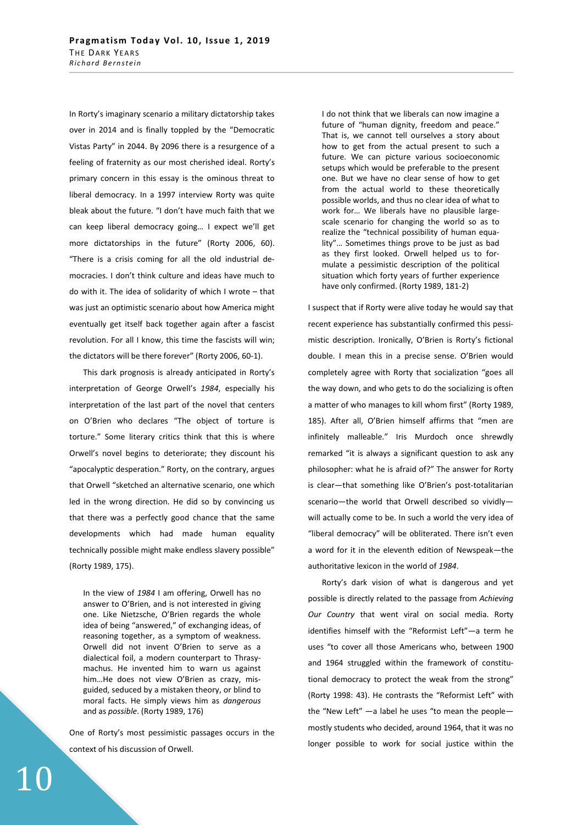In Rorty's imaginary scenario a military dictatorship takes over in 2014 and is finally toppled by the "Democratic Vistas Party" in 2044. By 2096 there is a resurgence of a feeling of fraternity as our most cherished ideal. Rorty's primary concern in this essay is the ominous threat to liberal democracy. In a 1997 interview Rorty was quite bleak about the future. "I don't have much faith that we can keep liberal democracy going… I expect we'll get more dictatorships in the future" (Rorty 2006, 60). "There is a crisis coming for all the old industrial democracies. I don't think culture and ideas have much to do with it. The idea of solidarity of which I wrote – that was just an optimistic scenario about how America might eventually get itself back together again after a fascist revolution. For all I know, this time the fascists will win; the dictators will be there forever" (Rorty 2006, 60-1).

This dark prognosis is already anticipated in Rorty's interpretation of George Orwell's 1984, especially his interpretation of the last part of the novel that centers on O'Brien who declares "The object of torture is torture." Some literary critics think that this is where Orwell's novel begins to deteriorate; they discount his "apocalyptic desperation." Rorty, on the contrary, argues that Orwell "sketched an alternative scenario, one which led in the wrong direction. He did so by convincing us that there was a perfectly good chance that the same developments which had made human equality technically possible might make endless slavery possible" (Rorty 1989, 175).

In the view of 1984 I am offering, Orwell has no answer to O'Brien, and is not interested in giving one. Like Nietzsche, O'Brien regards the whole idea of being "answered," of exchanging ideas, of reasoning together, as a symptom of weakness. Orwell did not invent O'Brien to serve as a dialectical foil, a modern counterpart to Thrasymachus. He invented him to warn us against him…He does not view O'Brien as crazy, misguided, seduced by a mistaken theory, or blind to moral facts. He simply views him as dangerous and as possible. (Rorty 1989, 176)

One of Rorty's most pessimistic passages occurs in the context of his discussion of Orwell.

10

I do not think that we liberals can now imagine a future of "human dignity, freedom and peace." That is, we cannot tell ourselves a story about how to get from the actual present to such a future. We can picture various socioeconomic setups which would be preferable to the present one. But we have no clear sense of how to get from the actual world to these theoretically possible worlds, and thus no clear idea of what to work for… We liberals have no plausible largescale scenario for changing the world so as to realize the "technical possibility of human equality"… Sometimes things prove to be just as bad as they first looked. Orwell helped us to formulate a pessimistic description of the political situation which forty years of further experience have only confirmed. (Rorty 1989, 181-2)

I suspect that if Rorty were alive today he would say that recent experience has substantially confirmed this pessimistic description. Ironically, O'Brien is Rorty's fictional double. I mean this in a precise sense. O'Brien would completely agree with Rorty that socialization "goes all the way down, and who gets to do the socializing is often a matter of who manages to kill whom first" (Rorty 1989, 185). After all, O'Brien himself affirms that "men are infinitely malleable." Iris Murdoch once shrewdly remarked "it is always a significant question to ask any philosopher: what he is afraid of?" The answer for Rorty is clear—that something like O'Brien's post-totalitarian scenario—the world that Orwell described so vividly will actually come to be. In such a world the very idea of "liberal democracy" will be obliterated. There isn't even a word for it in the eleventh edition of Newspeak—the authoritative lexicon in the world of 1984.

Rorty's dark vision of what is dangerous and yet possible is directly related to the passage from Achieving Our Country that went viral on social media. Rorty identifies himself with the "Reformist Left"—a term he uses "to cover all those Americans who, between 1900 and 1964 struggled within the framework of constitutional democracy to protect the weak from the strong" (Rorty 1998: 43). He contrasts the "Reformist Left" with the "New Left" —a label he uses "to mean the people mostly students who decided, around 1964, that it was no longer possible to work for social justice within the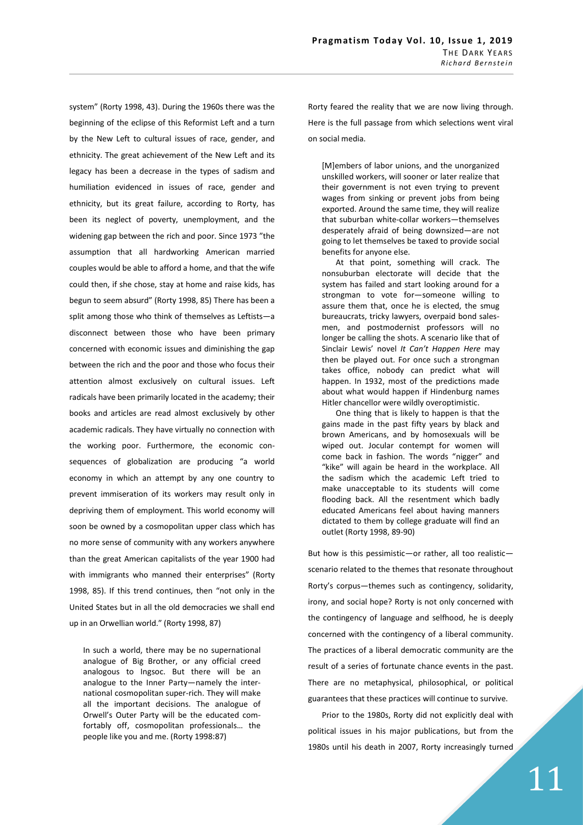system" (Rorty 1998, 43). During the 1960s there was the beginning of the eclipse of this Reformist Left and a turn by the New Left to cultural issues of race, gender, and ethnicity. The great achievement of the New Left and its legacy has been a decrease in the types of sadism and humiliation evidenced in issues of race, gender and ethnicity, but its great failure, according to Rorty, has been its neglect of poverty, unemployment, and the widening gap between the rich and poor. Since 1973 "the assumption that all hardworking American married couples would be able to afford a home, and that the wife could then, if she chose, stay at home and raise kids, has begun to seem absurd" (Rorty 1998, 85) There has been a split among those who think of themselves as Leftists—a disconnect between those who have been primary concerned with economic issues and diminishing the gap between the rich and the poor and those who focus their attention almost exclusively on cultural issues. Left radicals have been primarily located in the academy; their books and articles are read almost exclusively by other academic radicals. They have virtually no connection with the working poor. Furthermore, the economic consequences of globalization are producing "a world economy in which an attempt by any one country to prevent immiseration of its workers may result only in depriving them of employment. This world economy will soon be owned by a cosmopolitan upper class which has no more sense of community with any workers anywhere than the great American capitalists of the year 1900 had with immigrants who manned their enterprises" (Rorty 1998, 85). If this trend continues, then "not only in the United States but in all the old democracies we shall end up in an Orwellian world." (Rorty 1998, 87)

In such a world, there may be no supernational analogue of Big Brother, or any official creed analogous to Ingsoc. But there will be an analogue to the Inner Party—namely the international cosmopolitan super-rich. They will make all the important decisions. The analogue of Orwell's Outer Party will be the educated comfortably off, cosmopolitan professionals… the people like you and me. (Rorty 1998:87)

Rorty feared the reality that we are now living through. Here is the full passage from which selections went viral on social media.

[M]embers of labor unions, and the unorganized unskilled workers, will sooner or later realize that their government is not even trying to prevent wages from sinking or prevent jobs from being exported. Around the same time, they will realize that suburban white-collar workers—themselves desperately afraid of being downsized—are not going to let themselves be taxed to provide social benefits for anyone else.

At that point, something will crack. The nonsuburban electorate will decide that the system has failed and start looking around for a strongman to vote for—someone willing to assure them that, once he is elected, the smug bureaucrats, tricky lawyers, overpaid bond salesmen, and postmodernist professors will no longer be calling the shots. A scenario like that of Sinclair Lewis' novel It Can't Happen Here may then be played out. For once such a strongman takes office, nobody can predict what will happen. In 1932, most of the predictions made about what would happen if Hindenburg names Hitler chancellor were wildly overoptimistic.

One thing that is likely to happen is that the gains made in the past fifty years by black and brown Americans, and by homosexuals will be wiped out. Jocular contempt for women will come back in fashion. The words "nigger" and "kike" will again be heard in the workplace. All the sadism which the academic Left tried to make unacceptable to its students will come flooding back. All the resentment which badly educated Americans feel about having manners dictated to them by college graduate will find an outlet (Rorty 1998, 89-90)

But how is this pessimistic—or rather, all too realistic scenario related to the themes that resonate throughout Rorty's corpus—themes such as contingency, solidarity, irony, and social hope? Rorty is not only concerned with the contingency of language and selfhood, he is deeply concerned with the contingency of a liberal community. The practices of a liberal democratic community are the result of a series of fortunate chance events in the past. There are no metaphysical, philosophical, or political guarantees that these practices will continue to survive.

Prior to the 1980s, Rorty did not explicitly deal with political issues in his major publications, but from the 1980s until his death in 2007, Rorty increasingly turned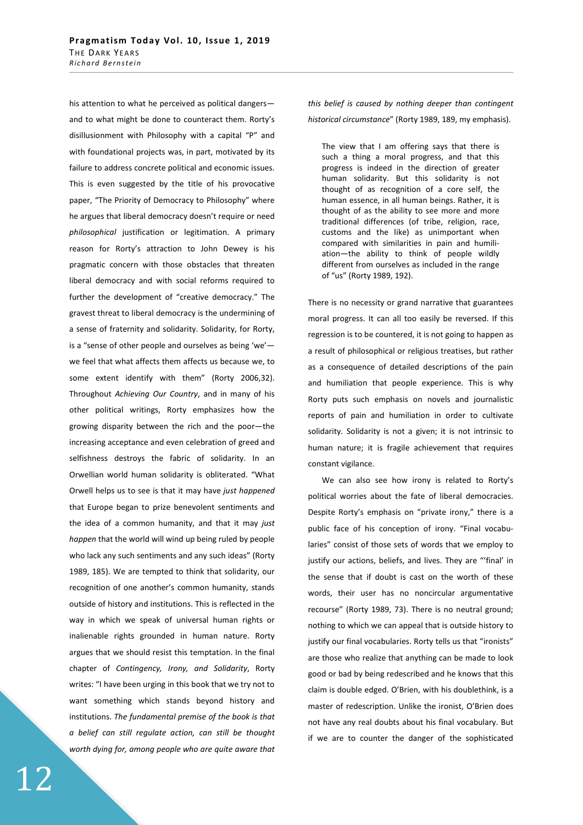his attention to what he perceived as political dangers and to what might be done to counteract them. Rorty's disillusionment with Philosophy with a capital "P" and with foundational projects was, in part, motivated by its failure to address concrete political and economic issues. This is even suggested by the title of his provocative paper, "The Priority of Democracy to Philosophy" where he argues that liberal democracy doesn't require or need philosophical justification or legitimation. A primary reason for Rorty's attraction to John Dewey is his pragmatic concern with those obstacles that threaten liberal democracy and with social reforms required to further the development of "creative democracy." The gravest threat to liberal democracy is the undermining of a sense of fraternity and solidarity. Solidarity, for Rorty, is a "sense of other people and ourselves as being 'we' we feel that what affects them affects us because we, to some extent identify with them" (Rorty 2006,32). Throughout Achieving Our Country, and in many of his other political writings, Rorty emphasizes how the growing disparity between the rich and the poor—the increasing acceptance and even celebration of greed and selfishness destroys the fabric of solidarity. In an Orwellian world human solidarity is obliterated. "What Orwell helps us to see is that it may have just happened that Europe began to prize benevolent sentiments and the idea of a common humanity, and that it may just happen that the world will wind up being ruled by people who lack any such sentiments and any such ideas" (Rorty 1989, 185). We are tempted to think that solidarity, our recognition of one another's common humanity, stands outside of history and institutions. This is reflected in the way in which we speak of universal human rights or inalienable rights grounded in human nature. Rorty argues that we should resist this temptation. In the final chapter of Contingency, Irony, and Solidarity, Rorty writes: "I have been urging in this book that we try not to want something which stands beyond history and institutions. The fundamental premise of the book is that a belief can still regulate action, can still be thought worth dying for, among people who are quite aware that

12

this belief is caused by nothing deeper than contingent historical circumstance" (Rorty 1989, 189, my emphasis).

The view that I am offering says that there is such a thing a moral progress, and that this progress is indeed in the direction of greater human solidarity. But this solidarity is not thought of as recognition of a core self, the human essence, in all human beings. Rather, it is thought of as the ability to see more and more traditional differences (of tribe, religion, race, customs and the like) as unimportant when compared with similarities in pain and humiliation—the ability to think of people wildly different from ourselves as included in the range of "us" (Rorty 1989, 192).

There is no necessity or grand narrative that guarantees moral progress. It can all too easily be reversed. If this regression is to be countered, it is not going to happen as a result of philosophical or religious treatises, but rather as a consequence of detailed descriptions of the pain and humiliation that people experience. This is why Rorty puts such emphasis on novels and journalistic reports of pain and humiliation in order to cultivate solidarity. Solidarity is not a given; it is not intrinsic to human nature; it is fragile achievement that requires constant vigilance.

We can also see how irony is related to Rorty's political worries about the fate of liberal democracies. Despite Rorty's emphasis on "private irony," there is a public face of his conception of irony. "Final vocabularies" consist of those sets of words that we employ to justify our actions, beliefs, and lives. They are "'final' in the sense that if doubt is cast on the worth of these words, their user has no noncircular argumentative recourse" (Rorty 1989, 73). There is no neutral ground; nothing to which we can appeal that is outside history to justify our final vocabularies. Rorty tells us that "ironists" are those who realize that anything can be made to look good or bad by being redescribed and he knows that this claim is double edged. O'Brien, with his doublethink, is a master of redescription. Unlike the ironist, O'Brien does not have any real doubts about his final vocabulary. But if we are to counter the danger of the sophisticated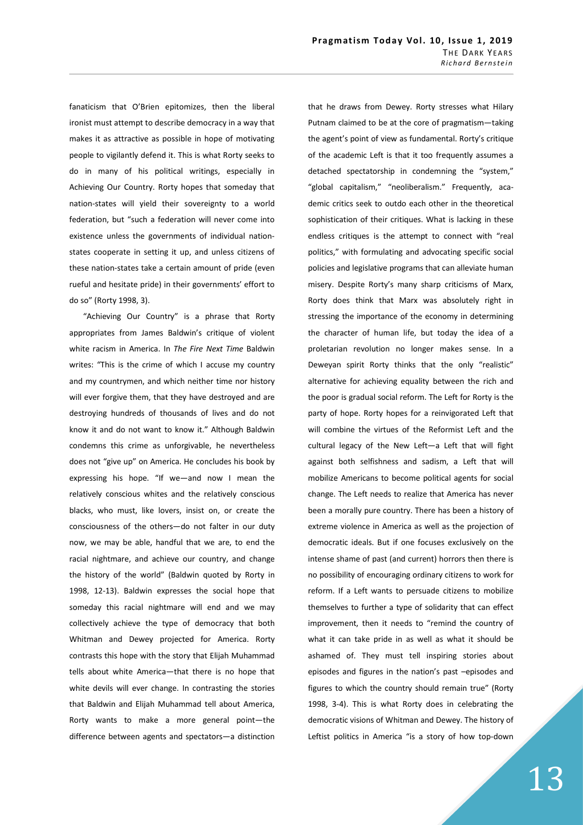fanaticism that O'Brien epitomizes, then the liberal ironist must attempt to describe democracy in a way that makes it as attractive as possible in hope of motivating people to vigilantly defend it. This is what Rorty seeks to do in many of his political writings, especially in Achieving Our Country. Rorty hopes that someday that nation-states will yield their sovereignty to a world federation, but "such a federation will never come into existence unless the governments of individual nationstates cooperate in setting it up, and unless citizens of these nation-states take a certain amount of pride (even rueful and hesitate pride) in their governments' effort to do so" (Rorty 1998, 3).

"Achieving Our Country" is a phrase that Rorty appropriates from James Baldwin's critique of violent white racism in America. In The Fire Next Time Baldwin writes: "This is the crime of which I accuse my country and my countrymen, and which neither time nor history will ever forgive them, that they have destroyed and are destroying hundreds of thousands of lives and do not know it and do not want to know it." Although Baldwin condemns this crime as unforgivable, he nevertheless does not "give up" on America. He concludes his book by expressing his hope. "If we—and now I mean the relatively conscious whites and the relatively conscious blacks, who must, like lovers, insist on, or create the consciousness of the others—do not falter in our duty now, we may be able, handful that we are, to end the racial nightmare, and achieve our country, and change the history of the world" (Baldwin quoted by Rorty in 1998, 12-13). Baldwin expresses the social hope that someday this racial nightmare will end and we may collectively achieve the type of democracy that both Whitman and Dewey projected for America. Rorty contrasts this hope with the story that Elijah Muhammad tells about white America—that there is no hope that white devils will ever change. In contrasting the stories that Baldwin and Elijah Muhammad tell about America, Rorty wants to make a more general point—the difference between agents and spectators—a distinction that he draws from Dewey. Rorty stresses what Hilary Putnam claimed to be at the core of pragmatism—taking the agent's point of view as fundamental. Rorty's critique of the academic Left is that it too frequently assumes a detached spectatorship in condemning the "system," "global capitalism," "neoliberalism." Frequently, academic critics seek to outdo each other in the theoretical sophistication of their critiques. What is lacking in these endless critiques is the attempt to connect with "real politics," with formulating and advocating specific social policies and legislative programs that can alleviate human misery. Despite Rorty's many sharp criticisms of Marx, Rorty does think that Marx was absolutely right in stressing the importance of the economy in determining the character of human life, but today the idea of a proletarian revolution no longer makes sense. In a Deweyan spirit Rorty thinks that the only "realistic" alternative for achieving equality between the rich and the poor is gradual social reform. The Left for Rorty is the party of hope. Rorty hopes for a reinvigorated Left that will combine the virtues of the Reformist Left and the cultural legacy of the New Left—a Left that will fight against both selfishness and sadism, a Left that will mobilize Americans to become political agents for social change. The Left needs to realize that America has never been a morally pure country. There has been a history of extreme violence in America as well as the projection of democratic ideals. But if one focuses exclusively on the intense shame of past (and current) horrors then there is no possibility of encouraging ordinary citizens to work for reform. If a Left wants to persuade citizens to mobilize themselves to further a type of solidarity that can effect improvement, then it needs to "remind the country of what it can take pride in as well as what it should be ashamed of. They must tell inspiring stories about episodes and figures in the nation's past –episodes and figures to which the country should remain true" (Rorty 1998, 3-4). This is what Rorty does in celebrating the democratic visions of Whitman and Dewey. The history of Leftist politics in America "is a story of how top-down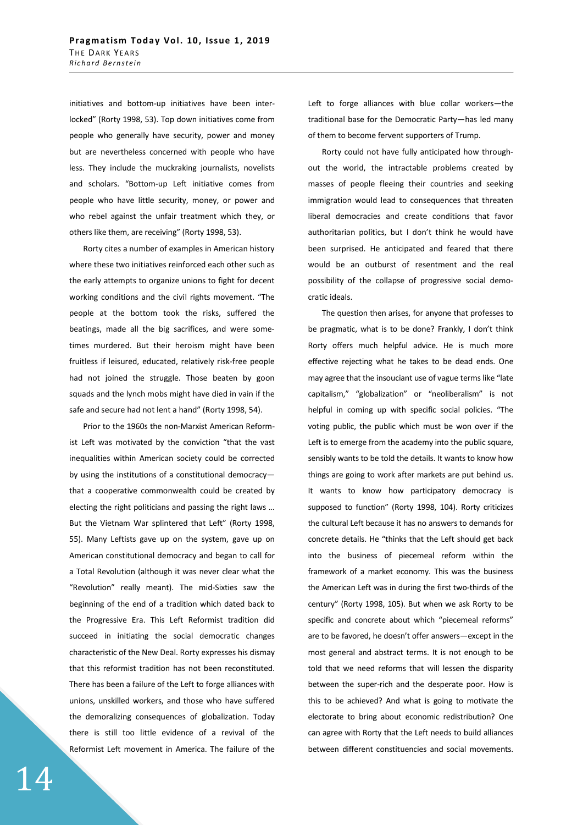initiatives and bottom-up initiatives have been interlocked" (Rorty 1998, 53). Top down initiatives come from people who generally have security, power and money but are nevertheless concerned with people who have less. They include the muckraking journalists, novelists and scholars. "Bottom-up Left initiative comes from people who have little security, money, or power and who rebel against the unfair treatment which they, or others like them, are receiving" (Rorty 1998, 53).

Rorty cites a number of examples in American history where these two initiatives reinforced each other such as the early attempts to organize unions to fight for decent working conditions and the civil rights movement. "The people at the bottom took the risks, suffered the beatings, made all the big sacrifices, and were sometimes murdered. But their heroism might have been fruitless if leisured, educated, relatively risk-free people had not joined the struggle. Those beaten by goon squads and the lynch mobs might have died in vain if the safe and secure had not lent a hand" (Rorty 1998, 54).

Prior to the 1960s the non-Marxist American Reformist Left was motivated by the conviction "that the vast inequalities within American society could be corrected by using the institutions of a constitutional democracy that a cooperative commonwealth could be created by electing the right politicians and passing the right laws … But the Vietnam War splintered that Left" (Rorty 1998, 55). Many Leftists gave up on the system, gave up on American constitutional democracy and began to call for a Total Revolution (although it was never clear what the "Revolution" really meant). The mid-Sixties saw the beginning of the end of a tradition which dated back to the Progressive Era. This Left Reformist tradition did succeed in initiating the social democratic changes characteristic of the New Deal. Rorty expresses his dismay that this reformist tradition has not been reconstituted. There has been a failure of the Left to forge alliances with unions, unskilled workers, and those who have suffered the demoralizing consequences of globalization. Today there is still too little evidence of a revival of the Reformist Left movement in America. The failure of the Left to forge alliances with blue collar workers—the traditional base for the Democratic Party—has led many of them to become fervent supporters of Trump.

Rorty could not have fully anticipated how throughout the world, the intractable problems created by masses of people fleeing their countries and seeking immigration would lead to consequences that threaten liberal democracies and create conditions that favor authoritarian politics, but I don't think he would have been surprised. He anticipated and feared that there would be an outburst of resentment and the real possibility of the collapse of progressive social democratic ideals.

The question then arises, for anyone that professes to be pragmatic, what is to be done? Frankly, I don't think Rorty offers much helpful advice. He is much more effective rejecting what he takes to be dead ends. One may agree that the insouciant use of vague terms like "late capitalism," "globalization" or "neoliberalism" is not helpful in coming up with specific social policies. "The voting public, the public which must be won over if the Left is to emerge from the academy into the public square, sensibly wants to be told the details. It wants to know how things are going to work after markets are put behind us. It wants to know how participatory democracy is supposed to function" (Rorty 1998, 104). Rorty criticizes the cultural Left because it has no answers to demands for concrete details. He "thinks that the Left should get back into the business of piecemeal reform within the framework of a market economy. This was the business the American Left was in during the first two-thirds of the century" (Rorty 1998, 105). But when we ask Rorty to be specific and concrete about which "piecemeal reforms" are to be favored, he doesn't offer answers—except in the most general and abstract terms. It is not enough to be told that we need reforms that will lessen the disparity between the super-rich and the desperate poor. How is this to be achieved? And what is going to motivate the electorate to bring about economic redistribution? One can agree with Rorty that the Left needs to build alliances between different constituencies and social movements.

14